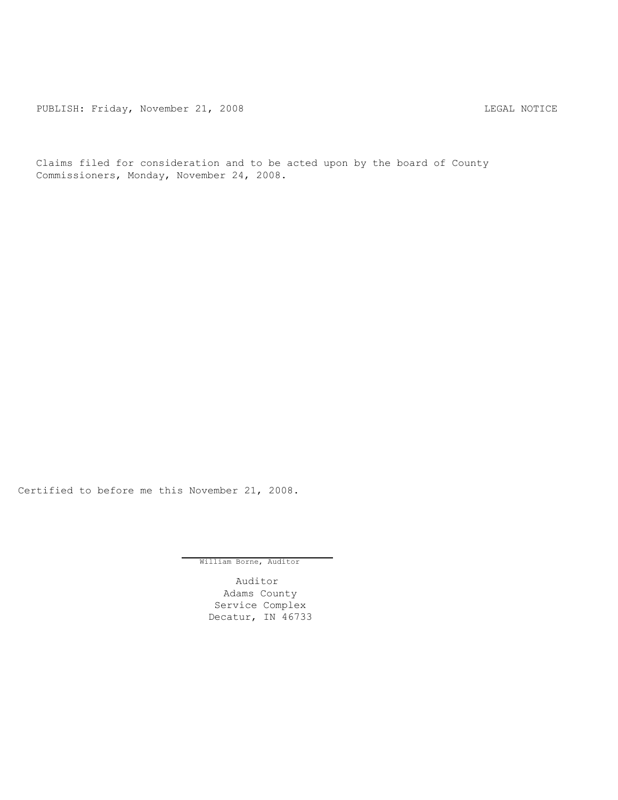PUBLISH: Friday, November 21, 2008 LEGAL NOTICE

Claims filed for consideration and to be acted upon by the board of County Commissioners, Monday, November 24, 2008.

Certified to before me this November 21, 2008.

William Borne, Auditor

Auditor Adams County Service Complex Decatur, IN 46733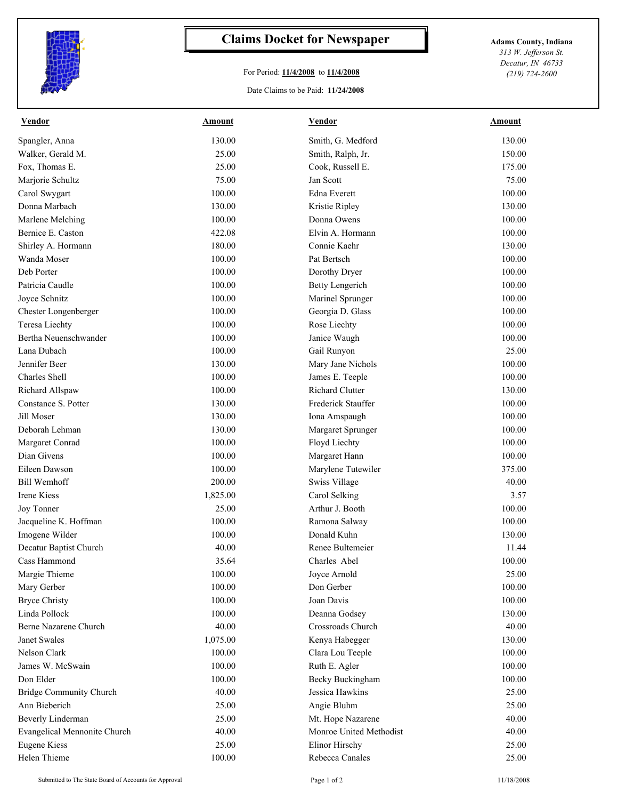

## **Claims Docket for Newspaper Adams County, Indiana**

## For Period: **11/4/2008** to **11/4/2008**

Date Claims to be Paid: **11/24/2008**

*313 W. Jefferson St. Decatur, IN 46733 (219) 724-2600*

| <b>Vendor</b>                | Amount   | <b>Vendor</b>           | Amount |
|------------------------------|----------|-------------------------|--------|
| Spangler, Anna               | 130.00   | Smith, G. Medford       | 130.00 |
| Walker, Gerald M.            | 25.00    | Smith, Ralph, Jr.       | 150.00 |
| Fox, Thomas E.               | 25.00    | Cook, Russell E.        | 175.00 |
| Marjorie Schultz             | 75.00    | Jan Scott               | 75.00  |
| Carol Swygart                | 100.00   | Edna Everett            | 100.00 |
| Donna Marbach                | 130.00   | Kristie Ripley          | 130.00 |
| Marlene Melching             | 100.00   | Donna Owens             | 100.00 |
| Bernice E. Caston            | 422.08   | Elvin A. Hormann        | 100.00 |
| Shirley A. Hormann           | 180.00   | Connie Kaehr            | 130.00 |
| Wanda Moser                  | 100.00   | Pat Bertsch             | 100.00 |
| Deb Porter                   | 100.00   | Dorothy Dryer           | 100.00 |
| Patricia Caudle              | 100.00   | <b>Betty Lengerich</b>  | 100.00 |
| Joyce Schnitz                | 100.00   | Marinel Sprunger        | 100.00 |
| Chester Longenberger         | 100.00   | Georgia D. Glass        | 100.00 |
| <b>Teresa Liechty</b>        | 100.00   | Rose Liechty            | 100.00 |
| Bertha Neuenschwander        | 100.00   | Janice Waugh            | 100.00 |
| Lana Dubach                  | 100.00   | Gail Runyon             | 25.00  |
| Jennifer Beer                | 130.00   | Mary Jane Nichols       | 100.00 |
| <b>Charles</b> Shell         | 100.00   | James E. Teeple         | 100.00 |
| Richard Allspaw              | 100.00   | Richard Clutter         | 130.00 |
| Constance S. Potter          | 130.00   | Frederick Stauffer      | 100.00 |
| Jill Moser                   | 130.00   | Iona Amspaugh           | 100.00 |
| Deborah Lehman               | 130.00   | Margaret Sprunger       | 100.00 |
| Margaret Conrad              | 100.00   | Floyd Liechty           | 100.00 |
| Dian Givens                  | 100.00   | Margaret Hann           | 100.00 |
| Eileen Dawson                | 100.00   | Marylene Tutewiler      | 375.00 |
| <b>Bill Wemhoff</b>          | 200.00   | Swiss Village           | 40.00  |
| <b>Irene Kiess</b>           | 1,825.00 | Carol Selking           | 3.57   |
| Joy Tonner                   | 25.00    | Arthur J. Booth         | 100.00 |
| Jacqueline K. Hoffman        | 100.00   | Ramona Salway           | 100.00 |
| Imogene Wilder               | 100.00   | Donald Kuhn             | 130.00 |
| Decatur Baptist Church       | 40.00    | Renee Bultemeier        | 11.44  |
| Cass Hammond                 | 35.64    | Charles Abel            | 100.00 |
| Margie Thieme                | 100.00   | Joyce Arnold            | 25.00  |
| Mary Gerber                  | 100.00   | Don Gerber              | 100.00 |
| <b>Bryce Christy</b>         | 100.00   | Joan Davis              | 100.00 |
| Linda Pollock                | 100.00   | Deanna Godsey           | 130.00 |
| Berne Nazarene Church        | 40.00    | Crossroads Church       | 40.00  |
| Janet Swales                 | 1,075.00 | Kenya Habegger          | 130.00 |
| Nelson Clark                 | 100.00   | Clara Lou Teeple        | 100.00 |
| James W. McSwain             | 100.00   | Ruth E. Agler           | 100.00 |
| Don Elder                    | 100.00   | Becky Buckingham        | 100.00 |
| Bridge Community Church      | 40.00    | Jessica Hawkins         | 25.00  |
| Ann Bieberich                | 25.00    | Angie Bluhm             | 25.00  |
| <b>Beverly Linderman</b>     | 25.00    | Mt. Hope Nazarene       | 40.00  |
| Evangelical Mennonite Church | 40.00    | Monroe United Methodist | 40.00  |
| <b>Eugene Kiess</b>          | 25.00    | Elinor Hirschy          | 25.00  |
| Helen Thieme                 | 100.00   | Rebecca Canales         | 25.00  |